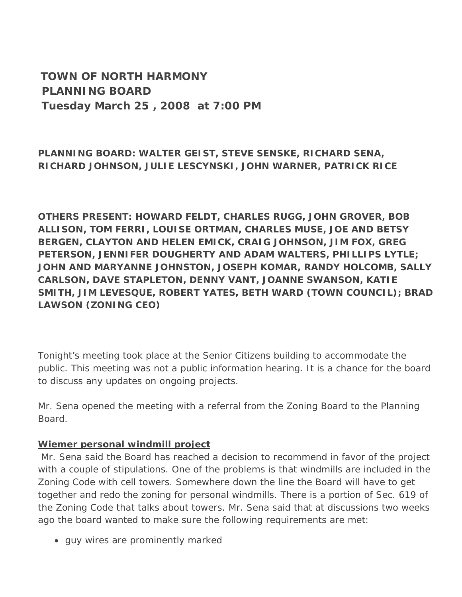**TOWN OF NORTH HARMONY PLANNING BOARD Tuesday March 25 , 2008 at 7:00 PM**

**PLANNING BOARD: WALTER GEIST, STEVE SENSKE, RICHARD SENA, RICHARD JOHNSON, JULIE LESCYNSKI, JOHN WARNER, PATRICK RICE**

**OTHERS PRESENT: HOWARD FELDT, CHARLES RUGG, JOHN GROVER, BOB ALLISON, TOM FERRI, LOUISE ORTMAN, CHARLES MUSE, JOE AND BETSY BERGEN, CLAYTON AND HELEN EMICK, CRAIG JOHNSON, JIM FOX, GREG PETERSON, JENNIFER DOUGHERTY AND ADAM WALTERS, PHILLIPS LYTLE; JOHN AND MARYANNE JOHNSTON, JOSEPH KOMAR, RANDY HOLCOMB, SALLY CARLSON, DAVE STAPLETON, DENNY VANT, JOANNE SWANSON, KATIE SMITH, JIM LEVESQUE, ROBERT YATES, BETH WARD (TOWN COUNCIL); BRAD LAWSON (ZONING CEO)**

Tonight's meeting took place at the Senior Citizens building to accommodate the public. This meeting was not a public information hearing. It is a chance for the board to discuss any updates on ongoing projects.

Mr. Sena opened the meeting with a referral from the Zoning Board to the Planning Board.

## **Wiemer personal windmill project**

 Mr. Sena said the Board has reached a decision to recommend in favor of the project with a couple of stipulations. One of the problems is that windmills are included in the Zoning Code with cell towers. Somewhere down the line the Board will have to get together and redo the zoning for personal windmills. There is a portion of Sec. 619 of the Zoning Code that talks about towers. Mr. Sena said that at discussions two weeks ago the board wanted to make sure the following requirements are met:

• guy wires are prominently marked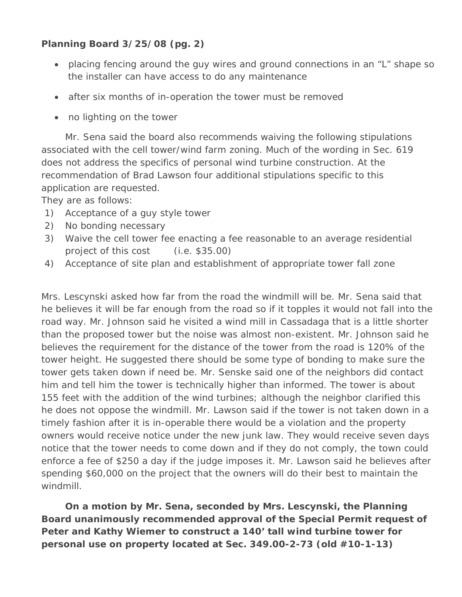# **Planning Board 3/25/08 (pg. 2)**

- placing fencing around the guy wires and ground connections in an "L" shape so the installer can have access to do any maintenance
- after six months of in-operation the tower must be removed
- no lighting on the tower

 Mr. Sena said the board also recommends waiving the following stipulations associated with the cell tower/wind farm zoning. Much of the wording in Sec. 619 does not address the specifics of personal wind turbine construction. At the recommendation of Brad Lawson four additional stipulations specific to this application are requested.

They are as follows:

- 1) Acceptance of a guy style tower
- 2) No bonding necessary
- 3) Waive the cell tower fee enacting a fee reasonable to an average residential project of this cost (i.e. \$35.00)
- 4) Acceptance of site plan and establishment of appropriate tower fall zone

Mrs. Lescynski asked how far from the road the windmill will be. Mr. Sena said that he believes it will be far enough from the road so if it topples it would not fall into the road way. Mr. Johnson said he visited a wind mill in Cassadaga that is a little shorter than the proposed tower but the noise was almost non-existent. Mr. Johnson said he believes the requirement for the distance of the tower from the road is 120% of the tower height. He suggested there should be some type of bonding to make sure the tower gets taken down if need be. Mr. Senske said one of the neighbors did contact him and tell him the tower is technically higher than informed. The tower is about 155 feet with the addition of the wind turbines; although the neighbor clarified this he does not oppose the windmill. Mr. Lawson said if the tower is not taken down in a timely fashion after it is in-operable there would be a violation and the property owners would receive notice under the new junk law. They would receive seven days notice that the tower needs to come down and if they do not comply, the town could enforce a fee of \$250 a day if the judge imposes it. Mr. Lawson said he believes after spending \$60,000 on the project that the owners will do their best to maintain the windmill.

 **On a motion by Mr. Sena, seconded by Mrs. Lescynski, the Planning Board unanimously recommended approval of the Special Permit request of Peter and Kathy Wiemer to construct a 140' tall wind turbine tower for personal use on property located at Sec. 349.00-2-73 (old #10-1-13)**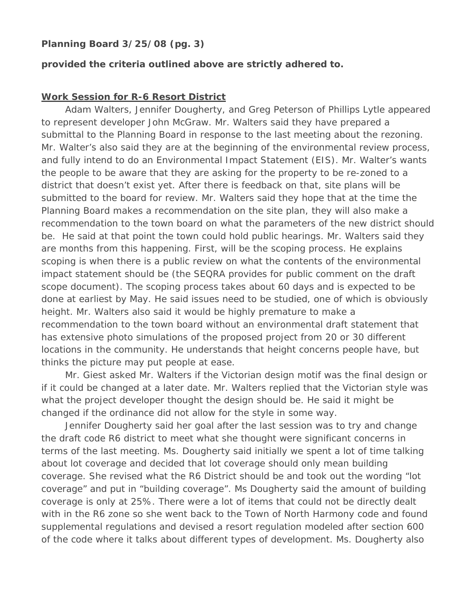## **Planning Board 3/25/08 (pg. 3)**

#### **provided the criteria outlined above are strictly adhered to.**

#### **Work Session for R-6 Resort District**

 Adam Walters, Jennifer Dougherty, and Greg Peterson of Phillips Lytle appeared to represent developer John McGraw. Mr. Walters said they have prepared a submittal to the Planning Board in response to the last meeting about the rezoning. Mr. Walter's also said they are at the beginning of the environmental review process, and fully intend to do an Environmental Impact Statement (EIS). Mr. Walter's wants the people to be aware that they are asking for the property to be re-zoned to a district that doesn't exist yet. After there is feedback on that, site plans will be submitted to the board for review. Mr. Walters said they hope that at the time the Planning Board makes a recommendation on the site plan, they will also make a recommendation to the town board on what the parameters of the new district should be. He said at that point the town could hold public hearings. Mr. Walters said they are months from this happening. First, will be the scoping process. He explains scoping is when there is a public review on what the contents of the environmental impact statement should be (the SEQRA provides for public comment on the draft scope document). The scoping process takes about 60 days and is expected to be done at earliest by May. He said issues need to be studied, one of which is obviously height. Mr. Walters also said it would be highly premature to make a recommendation to the town board without an environmental draft statement that has extensive photo simulations of the proposed project from 20 or 30 different locations in the community. He understands that height concerns people have, but thinks the picture may put people at ease.

 Mr. Giest asked Mr. Walters if the Victorian design motif was the final design or if it could be changed at a later date. Mr. Walters replied that the Victorian style was what the project developer thought the design should be. He said it might be changed if the ordinance did not allow for the style in some way.

 Jennifer Dougherty said her goal after the last session was to try and change the draft code R6 district to meet what she thought were significant concerns in terms of the last meeting. Ms. Dougherty said initially we spent a lot of time talking about lot coverage and decided that lot coverage should only mean building coverage. She revised what the R6 District should be and took out the wording "lot coverage" and put in "building coverage". Ms Dougherty said the amount of building coverage is only at 25%. There were a lot of items that could not be directly dealt with in the R6 zone so she went back to the Town of North Harmony code and found supplemental regulations and devised a resort regulation modeled after section 600 of the code where it talks about different types of development. Ms. Dougherty also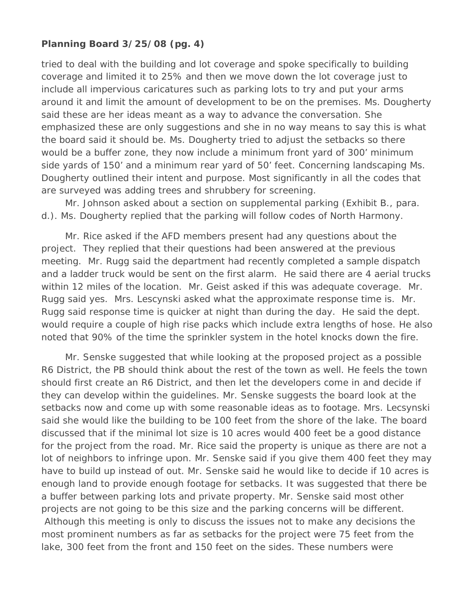## **Planning Board 3/25/08 (pg. 4)**

tried to deal with the building and lot coverage and spoke specifically to building coverage and limited it to 25% and then we move down the lot coverage just to include all impervious caricatures such as parking lots to try and put your arms around it and limit the amount of development to be on the premises. Ms. Dougherty said these are her ideas meant as a way to advance the conversation. She emphasized these are only suggestions and she in no way means to say this is what the board said it should be. Ms. Dougherty tried to adjust the setbacks so there would be a buffer zone, they now include a minimum front yard of 300' minimum side yards of 150' and a minimum rear yard of 50' feet. Concerning landscaping Ms. Dougherty outlined their intent and purpose. Most significantly in all the codes that are surveyed was adding trees and shrubbery for screening.

 Mr. Johnson asked about a section on supplemental parking (Exhibit B., para. d.). Ms. Dougherty replied that the parking will follow codes of North Harmony.

 Mr. Rice asked if the AFD members present had any questions about the project. They replied that their questions had been answered at the previous meeting. Mr. Rugg said the department had recently completed a sample dispatch and a ladder truck would be sent on the first alarm. He said there are 4 aerial trucks within 12 miles of the location. Mr. Geist asked if this was adequate coverage. Mr. Rugg said yes. Mrs. Lescynski asked what the approximate response time is. Mr. Rugg said response time is quicker at night than during the day. He said the dept. would require a couple of high rise packs which include extra lengths of hose. He also noted that 90% of the time the sprinkler system in the hotel knocks down the fire.

 Mr. Senske suggested that while looking at the proposed project as a possible R6 District, the PB should think about the rest of the town as well. He feels the town should first create an R6 District, and then let the developers come in and decide if they can develop within the guidelines. Mr. Senske suggests the board look at the setbacks now and come up with some reasonable ideas as to footage. Mrs. Lecsynski said she would like the building to be 100 feet from the shore of the lake. The board discussed that if the minimal lot size is 10 acres would 400 feet be a good distance for the project from the road. Mr. Rice said the property is unique as there are not a lot of neighbors to infringe upon. Mr. Senske said if you give them 400 feet they may have to build up instead of out. Mr. Senske said he would like to decide if 10 acres is enough land to provide enough footage for setbacks. It was suggested that there be a buffer between parking lots and private property. Mr. Senske said most other projects are not going to be this size and the parking concerns will be different. Although this meeting is only to discuss the issues not to make any decisions the most prominent numbers as far as setbacks for the project were 75 feet from the lake, 300 feet from the front and 150 feet on the sides. These numbers were